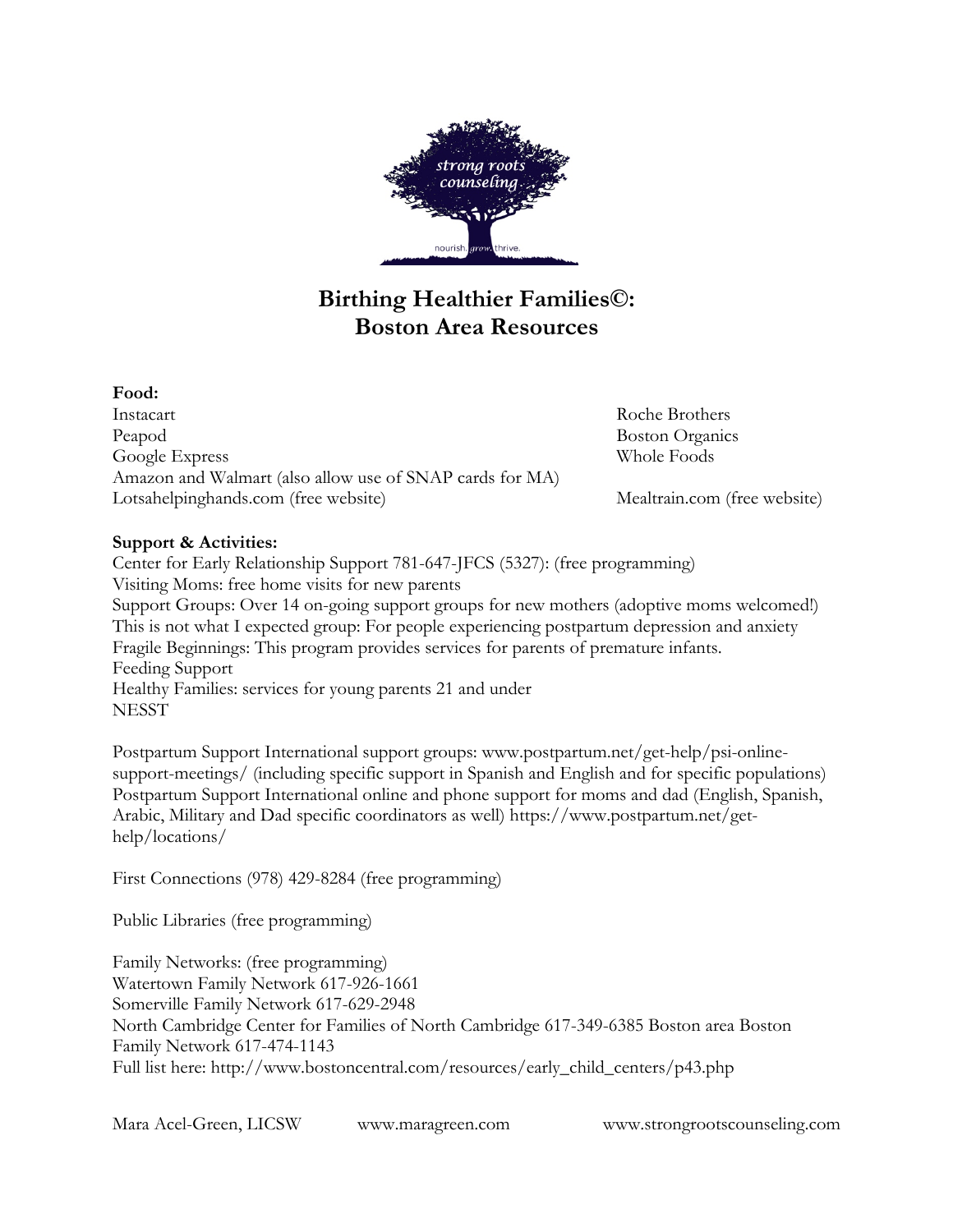

# **Birthing Healthier Families©: Boston Area Resources**

## **Food:**

Instacart Roche Brothers Peapod Boston Organics Google Express Whole Foods Amazon and Walmart (also allow use of SNAP cards for MA) Lotsahelpinghands.com (free website) Mealtrain.com (free website)

## **Support & Activities:**

Center for Early Relationship Support 781-647-JFCS (5327): (free programming) Visiting Moms: free home visits for new parents Support Groups: Over 14 on-going support groups for new mothers (adoptive moms welcomed!) This is not what I expected group: For people experiencing postpartum depression and anxiety Fragile Beginnings: This program provides services for parents of premature infants. Feeding Support Healthy Families: services for young parents 21 and under **NESST** 

Postpartum Support International support groups: www.postpartum.net/get-help/psi-onlinesupport-meetings/ (including specific support in Spanish and English and for specific populations) Postpartum Support International online and phone support for moms and dad (English, Spanish, Arabic, Military and Dad specific coordinators as well) https://www.postpartum.net/gethelp/locations/

First Connections (978) 429-8284 (free programming)

Public Libraries (free programming)

Family Networks: (free programming) Watertown Family Network 617-926-1661 Somerville Family Network 617-629-2948 North Cambridge Center for Families of North Cambridge 617-349-6385 Boston area Boston Family Network 617-474-1143 Full list here: http://www.bostoncentral.com/resources/early\_child\_centers/p43.php

Mara Acel-Green, LICSW www.maragreen.com www.strongrootscounseling.com